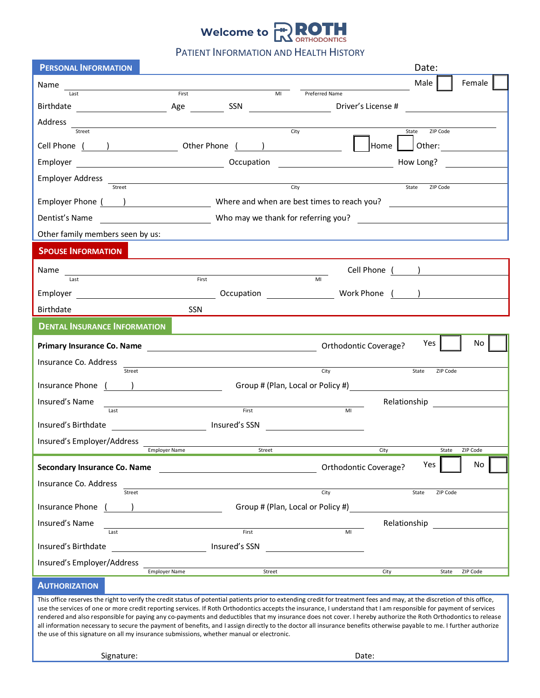

PATIENT INFORMATION AND HEALTH HISTORY

| <b>PERSONAL INFORMATION</b>         |                                                                            |                                           | Date:             |          |
|-------------------------------------|----------------------------------------------------------------------------|-------------------------------------------|-------------------|----------|
| Name                                |                                                                            |                                           | Male              | Female   |
| Last                                | First<br>MI                                                                | Preferred Name                            |                   |          |
|                                     |                                                                            |                                           |                   |          |
| Address<br>Street                   |                                                                            | City                                      | State<br>ZIP Code |          |
|                                     |                                                                            |                                           |                   |          |
| Employer                            |                                                                            |                                           |                   |          |
| Employer Address<br>Street          | <u> 1980 - Andrea Andrew Maria (h. 1980).</u>                              | City                                      |                   |          |
|                                     |                                                                            |                                           | State<br>ZIP Code |          |
|                                     | Employer Phone ( ) Where and when are best times to reach you?             |                                           |                   |          |
| Dentist's Name                      | Mho may we thank for referring you?<br>Mho may we thank for referring you? |                                           |                   |          |
| Other family members seen by us:    |                                                                            |                                           |                   |          |
| <b>SPOUSE INFORMATION</b>           |                                                                            |                                           |                   |          |
| Name                                |                                                                            |                                           | Cell Phone ( )    |          |
| Last                                | First                                                                      | MI                                        |                   |          |
|                                     |                                                                            |                                           |                   |          |
| Birthdate                           | SSN                                                                        |                                           |                   |          |
| <b>DENTAL INSURANCE INFORMATION</b> |                                                                            |                                           |                   |          |
|                                     |                                                                            | Orthodontic Coverage?                     | Yes               | No.      |
| Insurance Co. Address               |                                                                            | City                                      |                   |          |
| Street<br>Insurance Phone ()        |                                                                            | Group # (Plan, Local or Policy #)         | State<br>ZIP Code |          |
|                                     |                                                                            |                                           |                   |          |
| Insured's Name<br>Last              | First                                                                      | MI                                        | Relationship      |          |
| Insured's Birthdate                 | <b>Example 2</b> Insured's SSN                                             |                                           |                   |          |
| Insured's Employer/Address          |                                                                            |                                           |                   |          |
|                                     | <b>Employer Name</b><br>Street                                             |                                           | City<br>State     | ZIP Code |
| Secondary Insurance Co. Name        |                                                                            | Orthodontic Coverage?                     | Yes               | No       |
| Insurance Co. Address               |                                                                            |                                           |                   |          |
| Street                              |                                                                            | City<br>Group # (Plan, Local or Policy #) | ZIP Code<br>State |          |
| Insurance Phone (                   | <u>and the community of the community</u>                                  |                                           |                   |          |
| Insured's Name<br>Last              | First                                                                      | MI                                        | Relationship      |          |
| Insured's Birthdate                 | Insured's SSN                                                              |                                           |                   |          |
| Insured's Employer/Address          |                                                                            |                                           |                   |          |
|                                     | <b>Employer Name</b><br>Street                                             |                                           | City<br>State     | ZIP Code |
| <b>AUTHORIZATION</b>                |                                                                            |                                           |                   |          |

This office reserves the right to verify the credit status of potential patients prior to extending credit for treatment fees and may, at the discretion of this office, use the services of one or more credit reporting services. If Roth Orthodontics accepts the insurance, I understand that I am responsible for payment of services rendered and also responsible for paying any co-payments and deductibles that my insurance does not cover. I hereby authorize the Roth Orthodontics to release all information necessary to secure the payment of benefits, and I assign directly to the doctor all insurance benefits otherwise payable to me. I further authorize the use of this signature on all my insurance submissions, whether manual or electronic.